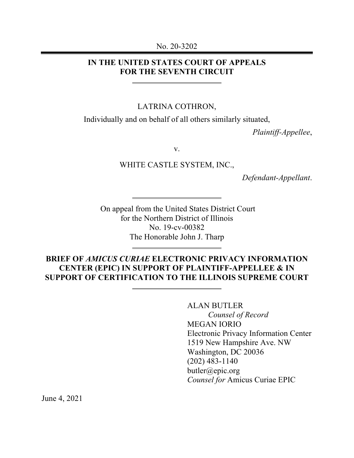#### No. 20-3202

## **IN THE UNITED STATES COURT OF APPEALS FOR THE SEVENTH CIRCUIT**

#### LATRINA COTHRON,

Individually and on behalf of all others similarly situated,

*Plaintiff-Appellee*,

v.

WHITE CASTLE SYSTEM, INC.,

*Defendant-Appellant*.

On appeal from the United States District Court for the Northern District of Illinois No. 19-cv-00382 The Honorable John J. Tharp

### **BRIEF OF** *AMICUS CURIAE* **ELECTRONIC PRIVACY INFORMATION CENTER (EPIC) IN SUPPORT OF PLAINTIFF-APPELLEE & IN SUPPORT OF CERTIFICATION TO THE ILLINOIS SUPREME COURT**

ALAN BUTLER *Counsel of Record* MEGAN IORIO Electronic Privacy Information Center 1519 New Hampshire Ave. NW Washington, DC 20036 (202) 483-1140 butler@epic.org *Counsel for* Amicus Curiae EPIC

June 4, 2021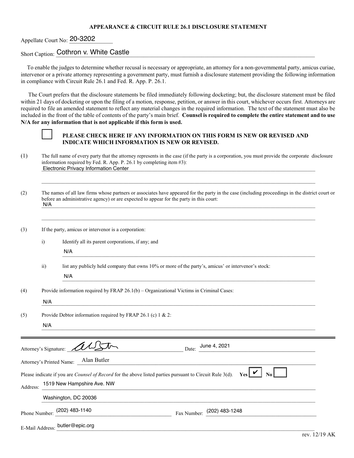#### **APPEARANCE & CIRCUIT RULE 26.1 DISCLOSURE STATEMENT**

### Appellate Court No: 20-3202

### Short Caption: Cothron v. White Castle **Castle Castle Castle** Construction of the Castle Construction of the Castle Construction of the Castle Construction of the Castle Construction of the Castle Construction of the Castl

To enable the judges to determine whether recusal is necessary or appropriate, an attorney for a non-governmental party, amicus curiae, intervenor or a private attorney representing a government party, must furnish a disclosure statement providing the following information in compliance with Circuit Rule 26.1 and Fed. R. App. P. 26.1.

 The Court prefers that the disclosure statements be filed immediately following docketing; but, the disclosure statement must be filed within 21 days of docketing or upon the filing of a motion, response, petition, or answer in this court, whichever occurs first. Attorneys are required to file an amended statement to reflect any material changes in the required information. The text of the statement must also be included in the front of the table of contents of the party's main brief. **Counsel is required to complete the entire statement and to use N/A for any information that is not applicable if this form is used.**



#### **[ ] PLEASE CHECK HERE IF ANY INFORMATION ON THIS FORM IS NEW OR REVISED AND INDICATE WHICH INFORMATION IS NEW OR REVISED.**

- (1) The full name of every party that the attorney represents in the case (if the party is a corporation, you must provide the corporate disclosure information required by Fed. R. App. P. 26.1 by completing item #3): Electronic Privacy Information Center **Electronic Privacy Information Center**
- (2) The names of all law firms whose partners or associates have appeared for the party in the case (including proceedings in the district court or before an administrative agency) or are expected to appear for the party in this court:  $N/A$ N/A

\_\_\_\_\_\_\_\_\_\_\_\_\_\_\_\_\_\_\_\_\_\_\_\_\_\_\_\_\_\_\_\_\_\_\_\_\_\_\_\_\_\_\_\_\_\_\_\_\_\_\_\_\_\_\_\_\_\_\_\_\_\_\_\_\_\_\_\_\_\_\_\_\_\_\_\_\_\_\_\_\_\_\_\_\_\_\_\_\_\_\_\_\_\_\_\_\_\_\_\_\_\_\_\_

\_\_\_\_\_\_\_\_\_\_\_\_\_\_\_\_\_\_\_\_\_\_\_\_\_\_\_\_\_\_\_\_\_\_\_\_\_\_\_\_\_\_\_\_\_\_\_\_\_\_\_\_\_\_\_\_\_\_\_\_\_\_\_\_\_\_\_\_\_\_\_\_\_\_\_\_\_\_\_\_\_\_\_\_\_\_\_\_\_\_\_\_\_\_\_\_\_\_\_\_\_\_\_\_

(3) If the party, amicus or intervenor is a corporation:

- i) Identify all its parent corporations, if any; and
	- $\Box$ N/A
- ii) list any publicly held company that owns 10% or more of the party's, amicus' or intervenor's stock:

 $N/A$ N/A

(4) Provide information required by FRAP 26.1(b) – Organizational Victims in Criminal Cases:

 $N/A$ N/A

(5) Provide Debtor information required by FRAP 26.1 (c) 1 & 2:

 $N/A$ N/A

|                          | Attorney's Signature: AUST                                                                                      | June 4, 2021<br>Date:            |  |  |  |
|--------------------------|-----------------------------------------------------------------------------------------------------------------|----------------------------------|--|--|--|
| Attorney's Printed Name: | Alan Butler                                                                                                     |                                  |  |  |  |
|                          | Please indicate if you are <i>Counsel of Record</i> for the above listed parties pursuant to Circuit Rule 3(d). | $Y_{\text{es}}$ $\vee$ 1<br>No L |  |  |  |
| Address:                 | 1519 New Hampshire Ave. NW                                                                                      |                                  |  |  |  |
| Washington, DC 20036     |                                                                                                                 |                                  |  |  |  |
|                          | Phone Number: (202) 483-1140                                                                                    | Fax Number: (202) 483-1248       |  |  |  |
|                          | E-Mail Address: butler@epic.org                                                                                 |                                  |  |  |  |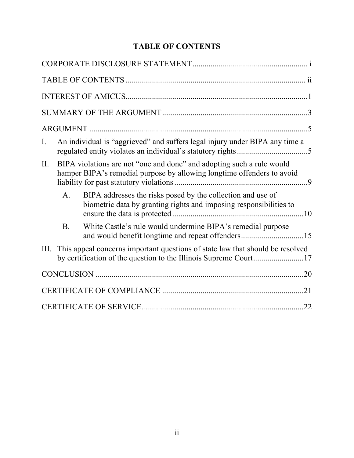| Ι.   |           | An individual is "aggrieved" and suffers legal injury under BIPA any time a                                                                       |  |
|------|-----------|---------------------------------------------------------------------------------------------------------------------------------------------------|--|
| II.  |           | BIPA violations are not "one and done" and adopting such a rule would<br>hamper BIPA's remedial purpose by allowing longtime offenders to avoid   |  |
|      | A.        | BIPA addresses the risks posed by the collection and use of<br>biometric data by granting rights and imposing responsibilities to                 |  |
|      | <b>B.</b> | White Castle's rule would undermine BIPA's remedial purpose<br>and would benefit longtime and repeat offenders15                                  |  |
| III. |           | This appeal concerns important questions of state law that should be resolved<br>by certification of the question to the Illinois Supreme Court17 |  |
|      |           |                                                                                                                                                   |  |
|      |           |                                                                                                                                                   |  |
|      |           |                                                                                                                                                   |  |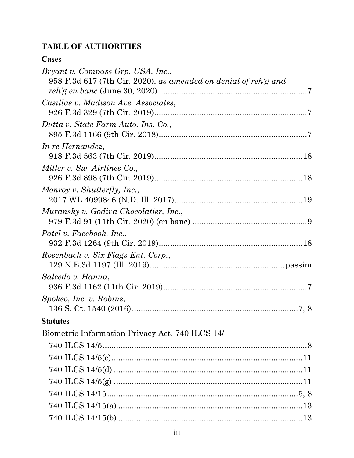# **TABLE OF AUTHORITIES**

# **Cases**

| Bryant v. Compass Grp. USA, Inc.,                                 |  |
|-------------------------------------------------------------------|--|
| $958$ F.3d 617 (7th Cir. 2020), as amended on denial of reh'g and |  |
|                                                                   |  |
| Casillas v. Madison Ave. Associates,                              |  |
| Dutta v. State Farm Auto. Ins. Co.,                               |  |
|                                                                   |  |
| In re Hernandez,                                                  |  |
|                                                                   |  |
| Miller v. Sw. Airlines Co.,                                       |  |
|                                                                   |  |
| Monroy v. Shutterfly, Inc.,                                       |  |
|                                                                   |  |
| Muransky v. Godiva Chocolatier, Inc.,                             |  |
|                                                                   |  |
| Patel v. Facebook, Inc.,                                          |  |
| Rosenbach v. Six Flags Ent. Corp.,                                |  |
|                                                                   |  |
| Salcedo v. Hanna,                                                 |  |
|                                                                   |  |
| Spokeo, Inc. v. Robins,                                           |  |
|                                                                   |  |
| <b>Statutes</b>                                                   |  |
| Biometric Information Privacy Act, 740 ILCS 14/                   |  |
|                                                                   |  |
|                                                                   |  |
|                                                                   |  |
|                                                                   |  |
|                                                                   |  |
|                                                                   |  |
|                                                                   |  |
|                                                                   |  |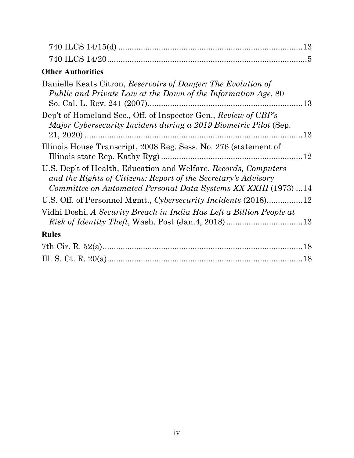| <b>Other Authorities</b>                                                                                                                                                                             |     |
|------------------------------------------------------------------------------------------------------------------------------------------------------------------------------------------------------|-----|
| Danielle Keats Citron, Reservoirs of Danger: The Evolution of<br>Public and Private Law at the Dawn of the Information Age, 80                                                                       |     |
| Dep't of Homeland Sec., Off. of Inspector Gen., Review of CBP's<br>Major Cybersecurity Incident during a 2019 Biometric Pilot (Sep.                                                                  | .13 |
| Illinois House Transcript, 2008 Reg. Sess. No. 276 (statement of                                                                                                                                     |     |
| U.S. Dep't of Health, Education and Welfare, Records, Computers<br>and the Rights of Citizens: Report of the Secretary's Advisory<br>Committee on Automated Personal Data Systems XX-XXIII (1973) 14 |     |
| U.S. Off. of Personnel Mgmt., Cybersecurity Incidents (2018)12                                                                                                                                       |     |
| Vidhi Doshi, A Security Breach in India Has Left a Billion People at                                                                                                                                 |     |
| <b>Rules</b>                                                                                                                                                                                         |     |
|                                                                                                                                                                                                      |     |
|                                                                                                                                                                                                      |     |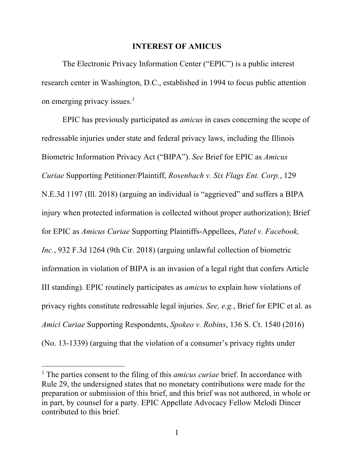#### **INTEREST OF AMICUS**

The Electronic Privacy Information Center ("EPIC") is a public interest research center in Washington, D.C., established in 1994 to focus public attention on emerging privacy issues. $<sup>1</sup>$ </sup>

EPIC has previously participated as *amicus* in cases concerning the scope of redressable injuries under state and federal privacy laws, including the Illinois Biometric Information Privacy Act ("BIPA"). *See* Brief for EPIC as *Amicus Curiae* Supporting Petitioner/Plaintiff, *Rosenbach v. Six Flags Ent. Corp.*, 129 N.E.3d 1197 (Ill. 2018) (arguing an individual is "aggrieved" and suffers a BIPA injury when protected information is collected without proper authorization); Brief for EPIC as *Amicus Curiae* Supporting Plaintiffs-Appellees, *Patel v. Facebook, Inc.*, 932 F.3d 1264 (9th Cir. 2018) (arguing unlawful collection of biometric information in violation of BIPA is an invasion of a legal right that confers Article III standing). EPIC routinely participates as *amicus* to explain how violations of privacy rights constitute redressable legal injuries. *See, e.g.*, Brief for EPIC et al. as *Amici Curiae* Supporting Respondents, *Spokeo v. Robins*, 136 S. Ct. 1540 (2016) (No. 13-1339) (arguing that the violation of a consumer's privacy rights under

<sup>&</sup>lt;sup>1</sup> The parties consent to the filing of this *amicus curiae* brief. In accordance with Rule 29, the undersigned states that no monetary contributions were made for the preparation or submission of this brief, and this brief was not authored, in whole or in part, by counsel for a party. EPIC Appellate Advocacy Fellow Melodi Dincer contributed to this brief.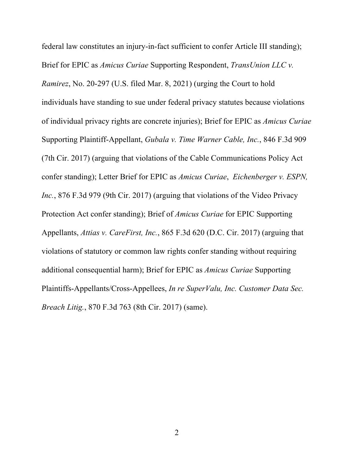federal law constitutes an injury-in-fact sufficient to confer Article III standing); Brief for EPIC as *Amicus Curiae* Supporting Respondent, *TransUnion LLC v. Ramirez*, No. 20-297 (U.S. filed Mar. 8, 2021) (urging the Court to hold individuals have standing to sue under federal privacy statutes because violations of individual privacy rights are concrete injuries); Brief for EPIC as *Amicus Curiae*  Supporting Plaintiff-Appellant, *Gubala v. Time Warner Cable, Inc.*, 846 F.3d 909 (7th Cir. 2017) (arguing that violations of the Cable Communications Policy Act confer standing); Letter Brief for EPIC as *Amicus Curiae*, *Eichenberger v. ESPN, Inc.*, 876 F.3d 979 (9th Cir. 2017) (arguing that violations of the Video Privacy Protection Act confer standing); Brief of *Amicus Curiae* for EPIC Supporting Appellants, *Attias v. CareFirst, Inc.*, 865 F.3d 620 (D.C. Cir. 2017) (arguing that violations of statutory or common law rights confer standing without requiring additional consequential harm); Brief for EPIC as *Amicus Curiae* Supporting Plaintiffs-Appellants/Cross-Appellees, *In re SuperValu, Inc. Customer Data Sec. Breach Litig.*, 870 F.3d 763 (8th Cir. 2017) (same).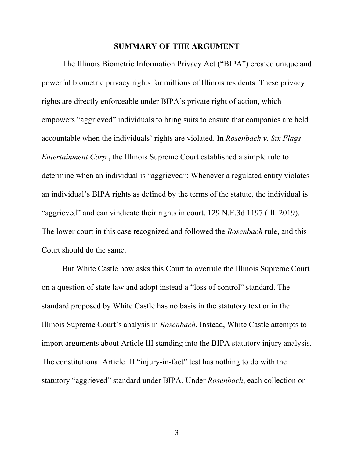#### **SUMMARY OF THE ARGUMENT**

The Illinois Biometric Information Privacy Act ("BIPA") created unique and powerful biometric privacy rights for millions of Illinois residents. These privacy rights are directly enforceable under BIPA's private right of action, which empowers "aggrieved" individuals to bring suits to ensure that companies are held accountable when the individuals' rights are violated. In *Rosenbach v. Six Flags Entertainment Corp.*, the Illinois Supreme Court established a simple rule to determine when an individual is "aggrieved": Whenever a regulated entity violates an individual's BIPA rights as defined by the terms of the statute, the individual is "aggrieved" and can vindicate their rights in court. 129 N.E.3d 1197 (Ill. 2019). The lower court in this case recognized and followed the *Rosenbach* rule, and this Court should do the same.

But White Castle now asks this Court to overrule the Illinois Supreme Court on a question of state law and adopt instead a "loss of control" standard. The standard proposed by White Castle has no basis in the statutory text or in the Illinois Supreme Court's analysis in *Rosenbach*. Instead, White Castle attempts to import arguments about Article III standing into the BIPA statutory injury analysis. The constitutional Article III "injury-in-fact" test has nothing to do with the statutory "aggrieved" standard under BIPA. Under *Rosenbach*, each collection or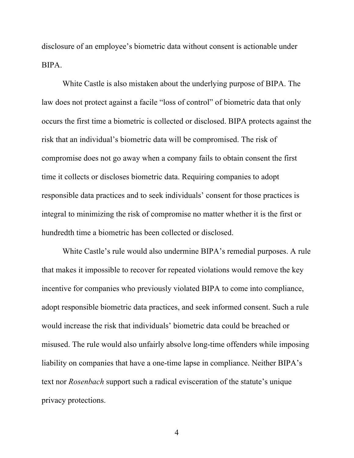disclosure of an employee's biometric data without consent is actionable under BIPA.

White Castle is also mistaken about the underlying purpose of BIPA. The law does not protect against a facile "loss of control" of biometric data that only occurs the first time a biometric is collected or disclosed. BIPA protects against the risk that an individual's biometric data will be compromised. The risk of compromise does not go away when a company fails to obtain consent the first time it collects or discloses biometric data. Requiring companies to adopt responsible data practices and to seek individuals' consent for those practices is integral to minimizing the risk of compromise no matter whether it is the first or hundredth time a biometric has been collected or disclosed.

White Castle's rule would also undermine BIPA's remedial purposes. A rule that makes it impossible to recover for repeated violations would remove the key incentive for companies who previously violated BIPA to come into compliance, adopt responsible biometric data practices, and seek informed consent. Such a rule would increase the risk that individuals' biometric data could be breached or misused. The rule would also unfairly absolve long-time offenders while imposing liability on companies that have a one-time lapse in compliance. Neither BIPA's text nor *Rosenbach* support such a radical evisceration of the statute's unique privacy protections.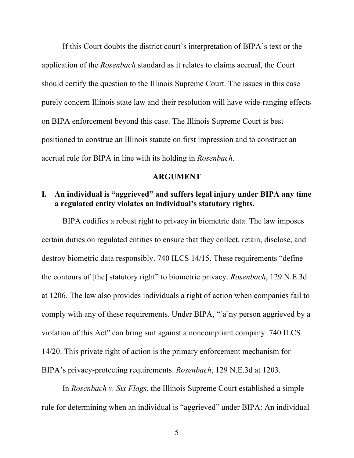If this Court doubts the district court's interpretation of BIPA's text or the application of the *Rosenbach* standard as it relates to claims accrual, the Court should certify the question to the Illinois Supreme Court. The issues in this case purely concern Illinois state law and their resolution will have wide-ranging effects on BIPA enforcement beyond this case. The Illinois Supreme Court is best positioned to construe an Illinois statute on first impression and to construct an accrual rule for BIPA in line with its holding in *Rosenbach*.

#### **ARGUMENT**

## **I. An individual is "aggrieved" and suffers legal injury under BIPA any time a regulated entity violates an individual's statutory rights.**

BIPA codifies a robust right to privacy in biometric data. The law imposes certain duties on regulated entities to ensure that they collect, retain, disclose, and destroy biometric data responsibly. 740 ILCS 14/15. These requirements "define the contours of [the] statutory right" to biometric privacy. *Rosenbach*, 129 N.E.3d at 1206. The law also provides individuals a right of action when companies fail to comply with any of these requirements. Under BIPA, "[a]ny person aggrieved by a violation of this Act" can bring suit against a noncompliant company. 740 ILCS 14/20. This private right of action is the primary enforcement mechanism for BIPA's privacy-protecting requirements. *Rosenbach*, 129 N.E.3d at 1203.

In *Rosenbach v. Six Flags*, the Illinois Supreme Court established a simple rule for determining when an individual is "aggrieved" under BIPA: An individual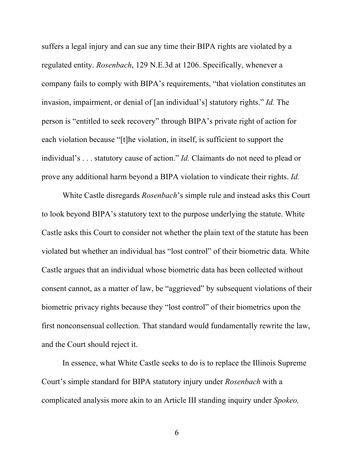suffers a legal injury and can sue any time their BIPA rights are violated by a regulated entity. *Rosenbach*, 129 N.E.3d at 1206. Specifically, whenever a company fails to comply with BIPA's requirements, "that violation constitutes an invasion, impairment, or denial of [an individual's] statutory rights." *Id.* The person is "entitled to seek recovery" through BIPA's private right of action for each violation because "[t]he violation, in itself, is sufficient to support the individual's . . . statutory cause of action." *Id.* Claimants do not need to plead or prove any additional harm beyond a BIPA violation to vindicate their rights. *Id.*

White Castle disregards *Rosenbach*'s simple rule and instead asks this Court to look beyond BIPA's statutory text to the purpose underlying the statute. White Castle asks this Court to consider not whether the plain text of the statute has been violated but whether an individual has "lost control" of their biometric data. White Castle argues that an individual whose biometric data has been collected without consent cannot, as a matter of law, be "aggrieved" by subsequent violations of their biometric privacy rights because they "lost control" of their biometrics upon the first nonconsensual collection. That standard would fundamentally rewrite the law, and the Court should reject it.

In essence, what White Castle seeks to do is to replace the Illinois Supreme Court's simple standard for BIPA statutory injury under *Rosenbach* with a complicated analysis more akin to an Article III standing inquiry under *Spokeo,*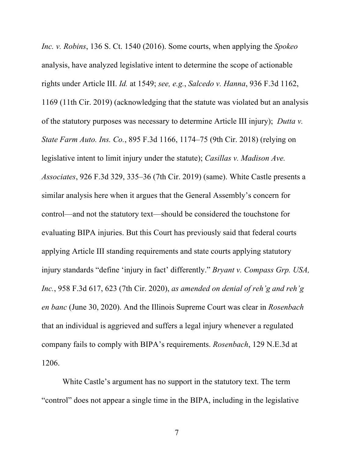*Inc. v. Robins*, 136 S. Ct. 1540 (2016). Some courts, when applying the *Spokeo* analysis, have analyzed legislative intent to determine the scope of actionable rights under Article III. *Id.* at 1549; *see, e.g.*, *Salcedo v. Hanna*, 936 F.3d 1162, 1169 (11th Cir. 2019) (acknowledging that the statute was violated but an analysis of the statutory purposes was necessary to determine Article III injury); *Dutta v. State Farm Auto. Ins. Co.*, 895 F.3d 1166, 1174–75 (9th Cir. 2018) (relying on legislative intent to limit injury under the statute); *Casillas v. Madison Ave. Associates*, 926 F.3d 329, 335–36 (7th Cir. 2019) (same). White Castle presents a similar analysis here when it argues that the General Assembly's concern for control—and not the statutory text—should be considered the touchstone for evaluating BIPA injuries. But this Court has previously said that federal courts applying Article III standing requirements and state courts applying statutory injury standards "define 'injury in fact' differently." *Bryant v. Compass Grp. USA, Inc.*, 958 F.3d 617, 623 (7th Cir. 2020), *as amended on denial of reh'g and reh'g en banc* (June 30, 2020). And the Illinois Supreme Court was clear in *Rosenbach* that an individual is aggrieved and suffers a legal injury whenever a regulated company fails to comply with BIPA's requirements. *Rosenbach*, 129 N.E.3d at 1206.

White Castle's argument has no support in the statutory text. The term "control" does not appear a single time in the BIPA, including in the legislative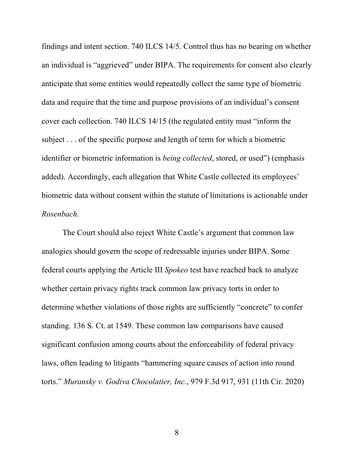findings and intent section. 740 ILCS 14/5. Control thus has no bearing on whether an individual is "aggrieved" under BIPA. The requirements for consent also clearly anticipate that some entities would repeatedly collect the same type of biometric data and require that the time and purpose provisions of an individual's consent cover each collection. 740 ILCS 14/15 (the regulated entity must "inform the subject . . . of the specific purpose and length of term for which a biometric identifier or biometric information is *being collected*, stored, or used") (emphasis added). Accordingly, each allegation that White Castle collected its employees' biometric data without consent within the statute of limitations is actionable under *Rosenbach*.

The Court should also reject White Castle's argument that common law analogies should govern the scope of redressable injuries under BIPA. Some federal courts applying the Article III *Spokeo* test have reached back to analyze whether certain privacy rights track common law privacy torts in order to determine whether violations of those rights are sufficiently "concrete" to confer standing. 136 S. Ct. at 1549. These common law comparisons have caused significant confusion among courts about the enforceability of federal privacy laws, often leading to litigants "hammering square causes of action into round torts." *Muransky v. Godiva Chocolatier, Inc.*, 979 F.3d 917, 931 (11th Cir. 2020)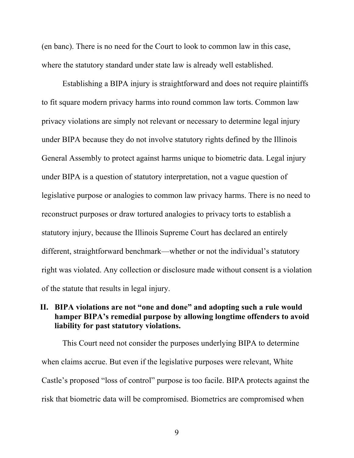(en banc). There is no need for the Court to look to common law in this case, where the statutory standard under state law is already well established.

Establishing a BIPA injury is straightforward and does not require plaintiffs to fit square modern privacy harms into round common law torts. Common law privacy violations are simply not relevant or necessary to determine legal injury under BIPA because they do not involve statutory rights defined by the Illinois General Assembly to protect against harms unique to biometric data. Legal injury under BIPA is a question of statutory interpretation, not a vague question of legislative purpose or analogies to common law privacy harms. There is no need to reconstruct purposes or draw tortured analogies to privacy torts to establish a statutory injury, because the Illinois Supreme Court has declared an entirely different, straightforward benchmark—whether or not the individual's statutory right was violated. Any collection or disclosure made without consent is a violation of the statute that results in legal injury.

## **II. BIPA violations are not "one and done" and adopting such a rule would hamper BIPA's remedial purpose by allowing longtime offenders to avoid liability for past statutory violations.**

This Court need not consider the purposes underlying BIPA to determine when claims accrue. But even if the legislative purposes were relevant, White Castle's proposed "loss of control" purpose is too facile. BIPA protects against the risk that biometric data will be compromised. Biometrics are compromised when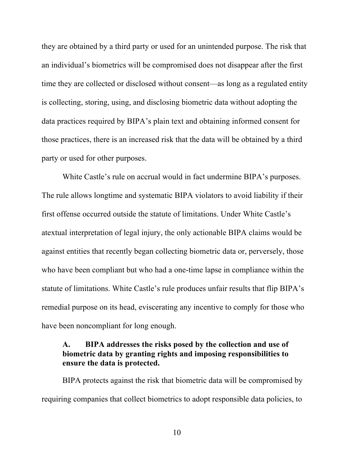they are obtained by a third party or used for an unintended purpose. The risk that an individual's biometrics will be compromised does not disappear after the first time they are collected or disclosed without consent—as long as a regulated entity is collecting, storing, using, and disclosing biometric data without adopting the data practices required by BIPA's plain text and obtaining informed consent for those practices, there is an increased risk that the data will be obtained by a third party or used for other purposes.

White Castle's rule on accrual would in fact undermine BIPA's purposes. The rule allows longtime and systematic BIPA violators to avoid liability if their first offense occurred outside the statute of limitations. Under White Castle's atextual interpretation of legal injury, the only actionable BIPA claims would be against entities that recently began collecting biometric data or, perversely, those who have been compliant but who had a one-time lapse in compliance within the statute of limitations. White Castle's rule produces unfair results that flip BIPA's remedial purpose on its head, eviscerating any incentive to comply for those who have been noncompliant for long enough.

## **A. BIPA addresses the risks posed by the collection and use of biometric data by granting rights and imposing responsibilities to ensure the data is protected.**

BIPA protects against the risk that biometric data will be compromised by requiring companies that collect biometrics to adopt responsible data policies, to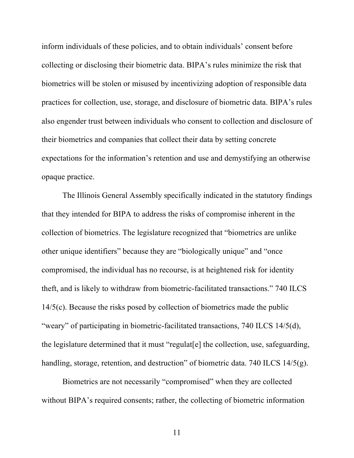inform individuals of these policies, and to obtain individuals' consent before collecting or disclosing their biometric data. BIPA's rules minimize the risk that biometrics will be stolen or misused by incentivizing adoption of responsible data practices for collection, use, storage, and disclosure of biometric data. BIPA's rules also engender trust between individuals who consent to collection and disclosure of their biometrics and companies that collect their data by setting concrete expectations for the information's retention and use and demystifying an otherwise opaque practice.

The Illinois General Assembly specifically indicated in the statutory findings that they intended for BIPA to address the risks of compromise inherent in the collection of biometrics. The legislature recognized that "biometrics are unlike other unique identifiers" because they are "biologically unique" and "once compromised, the individual has no recourse, is at heightened risk for identity theft, and is likely to withdraw from biometric-facilitated transactions." 740 ILCS 14/5(c). Because the risks posed by collection of biometrics made the public "weary" of participating in biometric-facilitated transactions, 740 ILCS 14/5(d), the legislature determined that it must "regulat[e] the collection, use, safeguarding, handling, storage, retention, and destruction" of biometric data. 740 ILCS 14/5(g).

Biometrics are not necessarily "compromised" when they are collected without BIPA's required consents; rather, the collecting of biometric information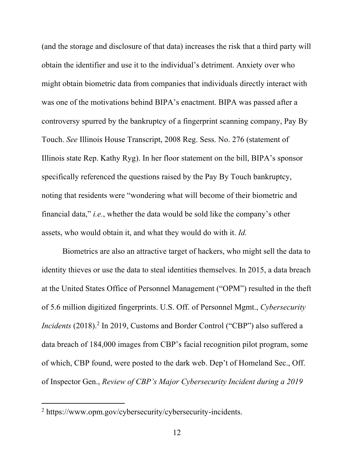(and the storage and disclosure of that data) increases the risk that a third party will obtain the identifier and use it to the individual's detriment. Anxiety over who might obtain biometric data from companies that individuals directly interact with was one of the motivations behind BIPA's enactment. BIPA was passed after a controversy spurred by the bankruptcy of a fingerprint scanning company, Pay By Touch. *See* Illinois House Transcript, 2008 Reg. Sess. No. 276 (statement of Illinois state Rep. Kathy Ryg). In her floor statement on the bill, BIPA's sponsor specifically referenced the questions raised by the Pay By Touch bankruptcy, noting that residents were "wondering what will become of their biometric and financial data," *i.e.*, whether the data would be sold like the company's other assets, who would obtain it, and what they would do with it. *Id.*

Biometrics are also an attractive target of hackers, who might sell the data to identity thieves or use the data to steal identities themselves. In 2015, a data breach at the United States Office of Personnel Management ("OPM") resulted in the theft of 5.6 million digitized fingerprints. U.S. Off. of Personnel Mgmt., *Cybersecurity Incidents* (2018). <sup>2</sup> In 2019, Customs and Border Control ("CBP") also suffered a data breach of 184,000 images from CBP's facial recognition pilot program, some of which, CBP found, were posted to the dark web. Dep't of Homeland Sec., Off. of Inspector Gen., *Review of CBP's Major Cybersecurity Incident during a 2019* 

<sup>2</sup> https://www.opm.gov/cybersecurity/cybersecurity-incidents.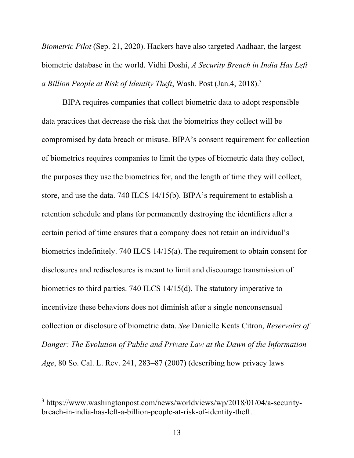*Biometric Pilot* (Sep. 21, 2020). Hackers have also targeted Aadhaar, the largest biometric database in the world. Vidhi Doshi, *A Security Breach in India Has Left a Billion People at Risk of Identity Theft*, Wash. Post (Jan.4, 2018). 3

BIPA requires companies that collect biometric data to adopt responsible data practices that decrease the risk that the biometrics they collect will be compromised by data breach or misuse. BIPA's consent requirement for collection of biometrics requires companies to limit the types of biometric data they collect, the purposes they use the biometrics for, and the length of time they will collect, store, and use the data. 740 ILCS 14/15(b). BIPA's requirement to establish a retention schedule and plans for permanently destroying the identifiers after a certain period of time ensures that a company does not retain an individual's biometrics indefinitely. 740 ILCS 14/15(a). The requirement to obtain consent for disclosures and redisclosures is meant to limit and discourage transmission of biometrics to third parties. 740 ILCS 14/15(d). The statutory imperative to incentivize these behaviors does not diminish after a single nonconsensual collection or disclosure of biometric data. *See* Danielle Keats Citron, *Reservoirs of Danger: The Evolution of Public and Private Law at the Dawn of the Information Age*, 80 So. Cal. L. Rev. 241, 283–87 (2007) (describing how privacy laws

<sup>3</sup> https://www.washingtonpost.com/news/worldviews/wp/2018/01/04/a-securitybreach-in-india-has-left-a-billion-people-at-risk-of-identity-theft.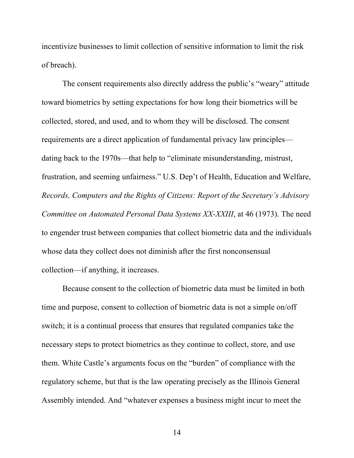incentivize businesses to limit collection of sensitive information to limit the risk of breach).

The consent requirements also directly address the public's "weary" attitude toward biometrics by setting expectations for how long their biometrics will be collected, stored, and used, and to whom they will be disclosed. The consent requirements are a direct application of fundamental privacy law principles dating back to the 1970s—that help to "eliminate misunderstanding, mistrust, frustration, and seeming unfairness." U.S. Dep't of Health, Education and Welfare, *Records, Computers and the Rights of Citizens: Report of the Secretary's Advisory Committee on Automated Personal Data Systems XX-XXIII*, at 46 (1973). The need to engender trust between companies that collect biometric data and the individuals whose data they collect does not diminish after the first nonconsensual collection—if anything, it increases.

Because consent to the collection of biometric data must be limited in both time and purpose, consent to collection of biometric data is not a simple on/off switch; it is a continual process that ensures that regulated companies take the necessary steps to protect biometrics as they continue to collect, store, and use them. White Castle's arguments focus on the "burden" of compliance with the regulatory scheme, but that is the law operating precisely as the Illinois General Assembly intended. And "whatever expenses a business might incur to meet the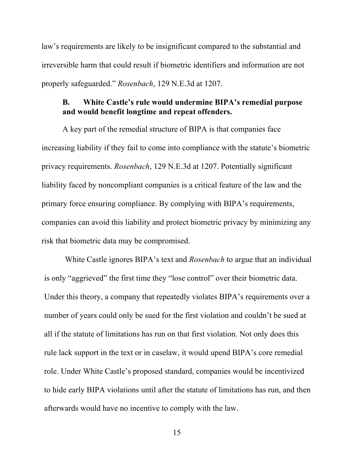law's requirements are likely to be insignificant compared to the substantial and irreversible harm that could result if biometric identifiers and information are not properly safeguarded." *Rosenbach*, 129 N.E.3d at 1207.

### **B. White Castle's rule would undermine BIPA's remedial purpose and would benefit longtime and repeat offenders.**

A key part of the remedial structure of BIPA is that companies face increasing liability if they fail to come into compliance with the statute's biometric privacy requirements. *Rosenbach*, 129 N.E.3d at 1207. Potentially significant liability faced by noncompliant companies is a critical feature of the law and the primary force ensuring compliance. By complying with BIPA's requirements, companies can avoid this liability and protect biometric privacy by minimizing any risk that biometric data may be compromised.

White Castle ignores BIPA's text and *Rosenbach* to argue that an individual is only "aggrieved" the first time they "lose control" over their biometric data. Under this theory, a company that repeatedly violates BIPA's requirements over a number of years could only be sued for the first violation and couldn't be sued at all if the statute of limitations has run on that first violation. Not only does this rule lack support in the text or in caselaw, it would upend BIPA's core remedial role. Under White Castle's proposed standard, companies would be incentivized to hide early BIPA violations until after the statute of limitations has run, and then afterwards would have no incentive to comply with the law.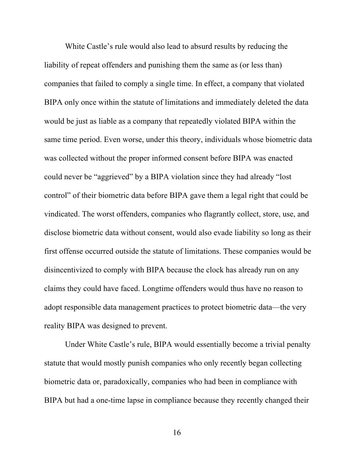White Castle's rule would also lead to absurd results by reducing the liability of repeat offenders and punishing them the same as (or less than) companies that failed to comply a single time. In effect, a company that violated BIPA only once within the statute of limitations and immediately deleted the data would be just as liable as a company that repeatedly violated BIPA within the same time period. Even worse, under this theory, individuals whose biometric data was collected without the proper informed consent before BIPA was enacted could never be "aggrieved" by a BIPA violation since they had already "lost control" of their biometric data before BIPA gave them a legal right that could be vindicated. The worst offenders, companies who flagrantly collect, store, use, and disclose biometric data without consent, would also evade liability so long as their first offense occurred outside the statute of limitations. These companies would be disincentivized to comply with BIPA because the clock has already run on any claims they could have faced. Longtime offenders would thus have no reason to adopt responsible data management practices to protect biometric data—the very reality BIPA was designed to prevent.

Under White Castle's rule, BIPA would essentially become a trivial penalty statute that would mostly punish companies who only recently began collecting biometric data or, paradoxically, companies who had been in compliance with BIPA but had a one-time lapse in compliance because they recently changed their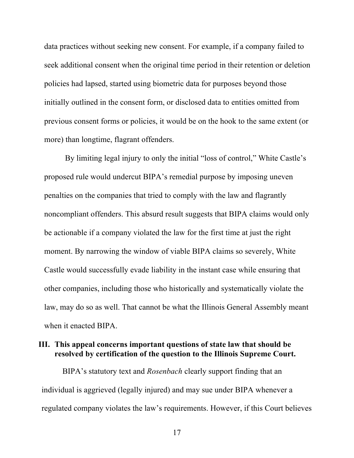data practices without seeking new consent. For example, if a company failed to seek additional consent when the original time period in their retention or deletion policies had lapsed, started using biometric data for purposes beyond those initially outlined in the consent form, or disclosed data to entities omitted from previous consent forms or policies, it would be on the hook to the same extent (or more) than longtime, flagrant offenders.

By limiting legal injury to only the initial "loss of control," White Castle's proposed rule would undercut BIPA's remedial purpose by imposing uneven penalties on the companies that tried to comply with the law and flagrantly noncompliant offenders. This absurd result suggests that BIPA claims would only be actionable if a company violated the law for the first time at just the right moment. By narrowing the window of viable BIPA claims so severely, White Castle would successfully evade liability in the instant case while ensuring that other companies, including those who historically and systematically violate the law, may do so as well. That cannot be what the Illinois General Assembly meant when it enacted BIPA.

### **III. This appeal concerns important questions of state law that should be resolved by certification of the question to the Illinois Supreme Court.**

BIPA's statutory text and *Rosenbach* clearly support finding that an individual is aggrieved (legally injured) and may sue under BIPA whenever a regulated company violates the law's requirements. However, if this Court believes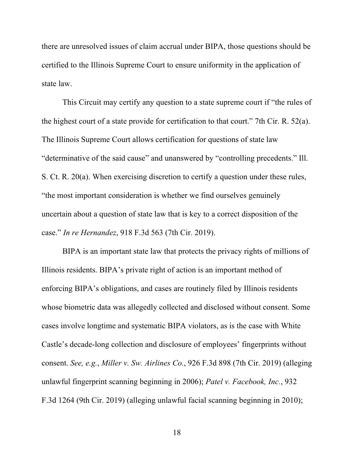there are unresolved issues of claim accrual under BIPA, those questions should be certified to the Illinois Supreme Court to ensure uniformity in the application of state law.

This Circuit may certify any question to a state supreme court if "the rules of the highest court of a state provide for certification to that court." 7th Cir. R. 52(a). The Illinois Supreme Court allows certification for questions of state law "determinative of the said cause" and unanswered by "controlling precedents." Ill. S. Ct. R. 20(a). When exercising discretion to certify a question under these rules, "the most important consideration is whether we find ourselves genuinely uncertain about a question of state law that is key to a correct disposition of the case." *In re Hernandez*, 918 F.3d 563 (7th Cir. 2019).

BIPA is an important state law that protects the privacy rights of millions of Illinois residents. BIPA's private right of action is an important method of enforcing BIPA's obligations, and cases are routinely filed by Illinois residents whose biometric data was allegedly collected and disclosed without consent. Some cases involve longtime and systematic BIPA violators, as is the case with White Castle's decade-long collection and disclosure of employees' fingerprints without consent. *See, e.g.*, *Miller v. Sw. Airlines Co.*, 926 F.3d 898 (7th Cir. 2019) (alleging unlawful fingerprint scanning beginning in 2006); *Patel v. Facebook, Inc.*, 932 F.3d 1264 (9th Cir. 2019) (alleging unlawful facial scanning beginning in 2010);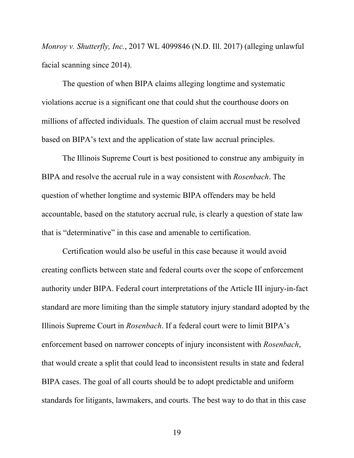*Monroy v. Shutterfly, Inc.*, 2017 WL 4099846 (N.D. Ill. 2017) (alleging unlawful facial scanning since 2014).

The question of when BIPA claims alleging longtime and systematic violations accrue is a significant one that could shut the courthouse doors on millions of affected individuals. The question of claim accrual must be resolved based on BIPA's text and the application of state law accrual principles.

The Illinois Supreme Court is best positioned to construe any ambiguity in BIPA and resolve the accrual rule in a way consistent with *Rosenbach*. The question of whether longtime and systemic BIPA offenders may be held accountable, based on the statutory accrual rule, is clearly a question of state law that is "determinative" in this case and amenable to certification.

Certification would also be useful in this case because it would avoid creating conflicts between state and federal courts over the scope of enforcement authority under BIPA. Federal court interpretations of the Article III injury-in-fact standard are more limiting than the simple statutory injury standard adopted by the Illinois Supreme Court in *Rosenbach*. If a federal court were to limit BIPA's enforcement based on narrower concepts of injury inconsistent with *Rosenbach*, that would create a split that could lead to inconsistent results in state and federal BIPA cases. The goal of all courts should be to adopt predictable and uniform standards for litigants, lawmakers, and courts. The best way to do that in this case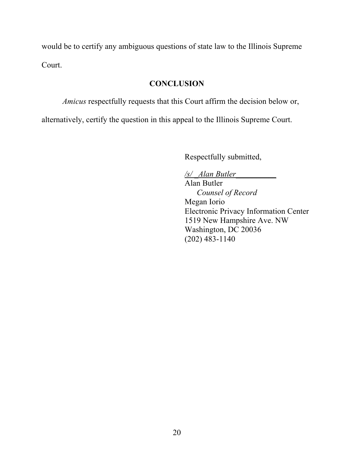would be to certify any ambiguous questions of state law to the Illinois Supreme Court.

### **CONCLUSION**

*Amicus* respectfully requests that this Court affirm the decision below or,

alternatively, certify the question in this appeal to the Illinois Supreme Court.

Respectfully submitted,

*/s/ \_Alan Butler\_\_\_\_\_\_\_\_\_\_*

Alan Butler *Counsel of Record* Megan Iorio Electronic Privacy Information Center 1519 New Hampshire Ave. NW Washington, DC 20036 (202) 483-1140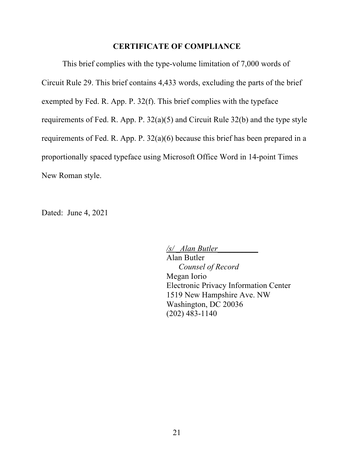### **CERTIFICATE OF COMPLIANCE**

This brief complies with the type-volume limitation of 7,000 words of Circuit Rule 29. This brief contains 4,433 words, excluding the parts of the brief exempted by Fed. R. App. P. 32(f). This brief complies with the typeface requirements of Fed. R. App. P. 32(a)(5) and Circuit Rule 32(b) and the type style requirements of Fed. R. App. P. 32(a)(6) because this brief has been prepared in a proportionally spaced typeface using Microsoft Office Word in 14-point Times New Roman style.

Dated: June 4, 2021

*/s/ \_Alan Butler\_\_\_\_\_\_\_\_\_\_* Alan Butler *Counsel of Record* Megan Iorio Electronic Privacy Information Center 1519 New Hampshire Ave. NW Washington, DC 20036 (202) 483-1140